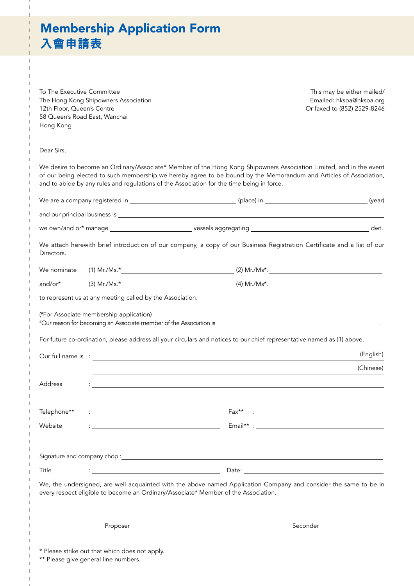## Membership Application Form 入會申請表

To The Executive Committee The Hong Kong Shipowners Association 12th Floor, Queen's Centre 58 Queen's Road East, Wanchai Hong Kong

This may be either mailed/ Emailed: hksoa@hksoa.org Or faxed to (852) 2529-8246

Dear Sirs,

We desire to become an Ordinary/Associate\* Member of the Hong Kong Shipowners Association Limited, and in the event of our being elected to such membership we hereby agree to be bound by the Memorandum and Articles of Association, and to abide by any rules and regulations of the Association for the time being in force.

| Directors.  |                                                                                        | We attach herewith brief introduction of our company, a copy of our Business Registration Certificate and a list of our                                                                                |           |
|-------------|----------------------------------------------------------------------------------------|--------------------------------------------------------------------------------------------------------------------------------------------------------------------------------------------------------|-----------|
| We nominate |                                                                                        |                                                                                                                                                                                                        |           |
| and/or*     |                                                                                        |                                                                                                                                                                                                        |           |
|             | to represent us at any meeting called by the Association.                              |                                                                                                                                                                                                        |           |
|             | (#For Associate membership application)                                                |                                                                                                                                                                                                        |           |
|             |                                                                                        | For future co-ordination, please address all your circulars and notices to our chief representative named as (1) above.                                                                                |           |
|             |                                                                                        |                                                                                                                                                                                                        | (English) |
|             |                                                                                        | and the control of the control of the control of the control of the control of the control of the control of the                                                                                       | (Chinese) |
| Address     |                                                                                        | : <u>- Andreas Andreas - Andreas Andreas Andreas Andreas Andreas Andreas Andreas Andreas Andreas Andreas Andreas</u>                                                                                   |           |
| Telephone** |                                                                                        |                                                                                                                                                                                                        |           |
| Website     |                                                                                        |                                                                                                                                                                                                        |           |
|             |                                                                                        |                                                                                                                                                                                                        |           |
|             |                                                                                        |                                                                                                                                                                                                        |           |
| Title       |                                                                                        | <u> 1989 - Johann Barbara, martin a</u><br>Date: <u>Date: Explorer</u>                                                                                                                                 |           |
|             |                                                                                        | We, the undersigned, are well acquainted with the above named Application Company and consider the same to be in<br>every respect eligible to become an Ordinary/Associate* Member of the Association. |           |
|             | Proposer                                                                               | Seconder                                                                                                                                                                                               |           |
|             | * Please strike out that which does not apply.<br>** Please give general line numbers. |                                                                                                                                                                                                        |           |